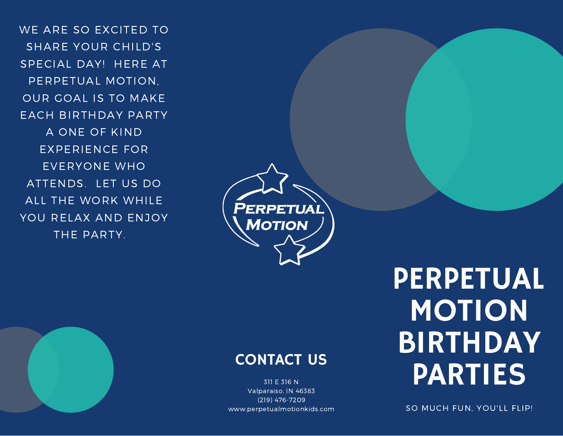WE ARE SO EXCITED TO SHARE YOUR CHILD'S SPECIAL DAY! HERE AT PERPETUAL MOTION, OUR GOAL IS TO MAKE EACH BIRTHDAY PARTY A ONE OF KIND EXPERIENCE FOR EVERYONE WHO ATTENDS. LET US DO ALL THE WORK WHILE YOU RELAX AND ENJOY THE PARTY.



## CONTACT US

311 E 316 N Valparaiso, IN 46383 (219) 476-7209 www.perpetualmotionkids.com

# PERPETUAL MOTION BIRTHDAY PARTIES

SO MUCH FUN, YOU'LL FLIP!